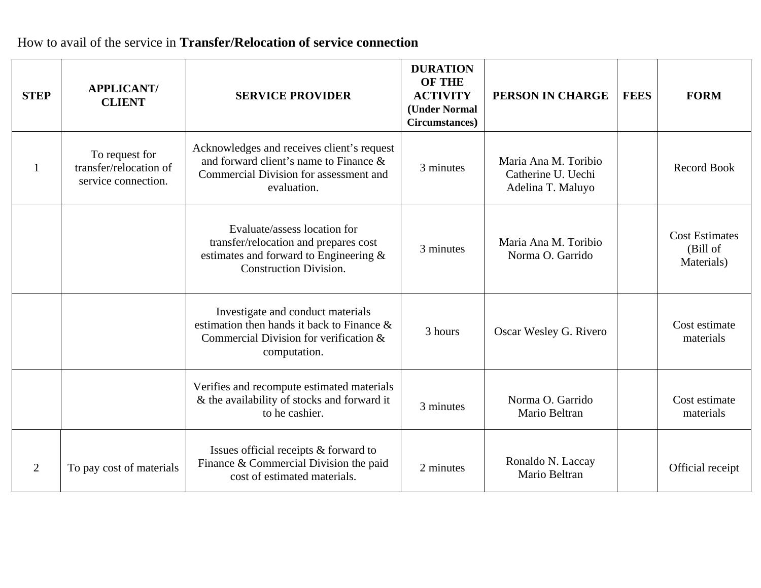## How to avail of the service in **Transfer/Relocation of service connection**

| <b>STEP</b>    | <b>APPLICANT/</b><br><b>CLIENT</b>                              | <b>SERVICE PROVIDER</b>                                                                                                                          | <b>DURATION</b><br><b>OF THE</b><br><b>ACTIVITY</b><br>(Under Normal<br>Circumstances) | PERSON IN CHARGE                                                | <b>FEES</b> | <b>FORM</b>                                     |
|----------------|-----------------------------------------------------------------|--------------------------------------------------------------------------------------------------------------------------------------------------|----------------------------------------------------------------------------------------|-----------------------------------------------------------------|-------------|-------------------------------------------------|
|                | To request for<br>transfer/relocation of<br>service connection. | Acknowledges and receives client's request<br>and forward client's name to Finance &<br>Commercial Division for assessment and<br>evaluation.    | 3 minutes                                                                              | Maria Ana M. Toribio<br>Catherine U. Uechi<br>Adelina T. Maluyo |             | <b>Record Book</b>                              |
|                |                                                                 | Evaluate/assess location for<br>transfer/relocation and prepares cost<br>estimates and forward to Engineering &<br><b>Construction Division.</b> | 3 minutes                                                                              | Maria Ana M. Toribio<br>Norma O. Garrido                        |             | <b>Cost Estimates</b><br>(Bill of<br>Materials) |
|                |                                                                 | Investigate and conduct materials<br>estimation then hands it back to Finance &<br>Commercial Division for verification &<br>computation.        | 3 hours                                                                                | Oscar Wesley G. Rivero                                          |             | Cost estimate<br>materials                      |
|                |                                                                 | Verifies and recompute estimated materials<br>& the availability of stocks and forward it<br>to he cashier.                                      | 3 minutes                                                                              | Norma O. Garrido<br>Mario Beltran                               |             | Cost estimate<br>materials                      |
| $\overline{2}$ | To pay cost of materials                                        | Issues official receipts & forward to<br>Finance & Commercial Division the paid<br>cost of estimated materials.                                  | 2 minutes                                                                              | Ronaldo N. Laccay<br>Mario Beltran                              |             | Official receipt                                |